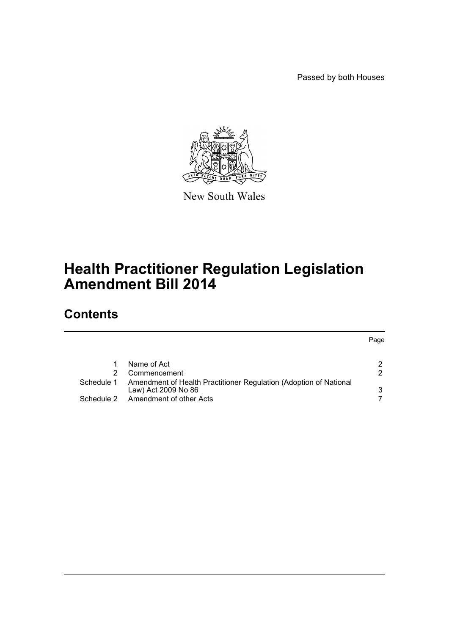Passed by both Houses

Page



New South Wales

# **Health Practitioner Regulation Legislation Amendment Bill 2014**

# **Contents**

|            | Name of Act                                                                              |     |
|------------|------------------------------------------------------------------------------------------|-----|
|            | Commencement                                                                             | -2. |
| Schedule 1 | Amendment of Health Practitioner Regulation (Adoption of National<br>Law) Act 2009 No 86 | ર   |
| Schedule 2 | Amendment of other Acts                                                                  |     |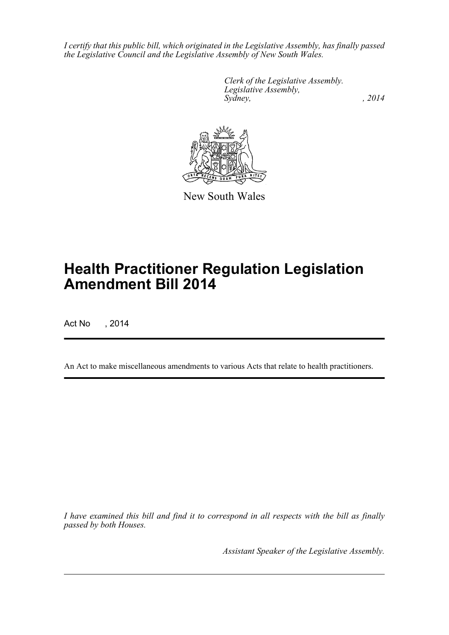*I certify that this public bill, which originated in the Legislative Assembly, has finally passed the Legislative Council and the Legislative Assembly of New South Wales.*

> *Clerk of the Legislative Assembly. Legislative Assembly, Sydney,* , 2014



New South Wales

# **Health Practitioner Regulation Legislation Amendment Bill 2014**

Act No , 2014

An Act to make miscellaneous amendments to various Acts that relate to health practitioners.

*I have examined this bill and find it to correspond in all respects with the bill as finally passed by both Houses.*

*Assistant Speaker of the Legislative Assembly.*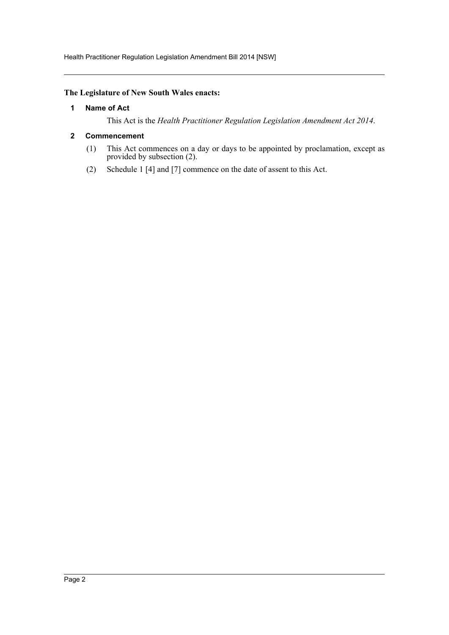Health Practitioner Regulation Legislation Amendment Bill 2014 [NSW]

# <span id="page-2-0"></span>**The Legislature of New South Wales enacts:**

#### **1 Name of Act**

This Act is the *Health Practitioner Regulation Legislation Amendment Act 2014*.

#### <span id="page-2-1"></span>**2 Commencement**

- (1) This Act commences on a day or days to be appointed by proclamation, except as provided by subsection (2).
- (2) Schedule 1 [4] and [7] commence on the date of assent to this Act.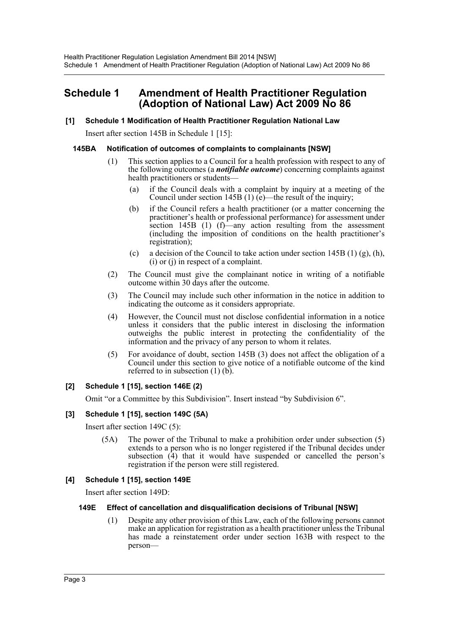# <span id="page-3-0"></span>**Schedule 1 Amendment of Health Practitioner Regulation (Adoption of National Law) Act 2009 No 86**

#### **[1] Schedule 1 Modification of Health Practitioner Regulation National Law**

Insert after section 145B in Schedule 1 [15]:

#### **145BA Notification of outcomes of complaints to complainants [NSW]**

- (1) This section applies to a Council for a health profession with respect to any of the following outcomes (a *notifiable outcome*) concerning complaints against health practitioners or students-
	- (a) if the Council deals with a complaint by inquiry at a meeting of the Council under section 145B (1) (e)—the result of the inquiry;
	- (b) if the Council refers a health practitioner (or a matter concerning the practitioner's health or professional performance) for assessment under section 145B (1)  $(f)$ —any action resulting from the assessment (including the imposition of conditions on the health practitioner's registration);
	- (c) a decision of the Council to take action under section 145B (1) (g), (h), (i) or (j) in respect of a complaint.
- (2) The Council must give the complainant notice in writing of a notifiable outcome within 30 days after the outcome.
- (3) The Council may include such other information in the notice in addition to indicating the outcome as it considers appropriate.
- (4) However, the Council must not disclose confidential information in a notice unless it considers that the public interest in disclosing the information outweighs the public interest in protecting the confidentiality of the information and the privacy of any person to whom it relates.
- (5) For avoidance of doubt, section 145B (3) does not affect the obligation of a Council under this section to give notice of a notifiable outcome of the kind referred to in subsection (1) (b).

## **[2] Schedule 1 [15], section 146E (2)**

Omit "or a Committee by this Subdivision". Insert instead "by Subdivision 6".

## **[3] Schedule 1 [15], section 149C (5A)**

Insert after section 149C (5):

(5A) The power of the Tribunal to make a prohibition order under subsection (5) extends to a person who is no longer registered if the Tribunal decides under subsection  $(\hat{4})$  that it would have suspended or cancelled the person's registration if the person were still registered.

## **[4] Schedule 1 [15], section 149E**

Insert after section 149D:

#### **149E Effect of cancellation and disqualification decisions of Tribunal [NSW]**

(1) Despite any other provision of this Law, each of the following persons cannot make an application for registration as a health practitioner unless the Tribunal has made a reinstatement order under section 163B with respect to the person—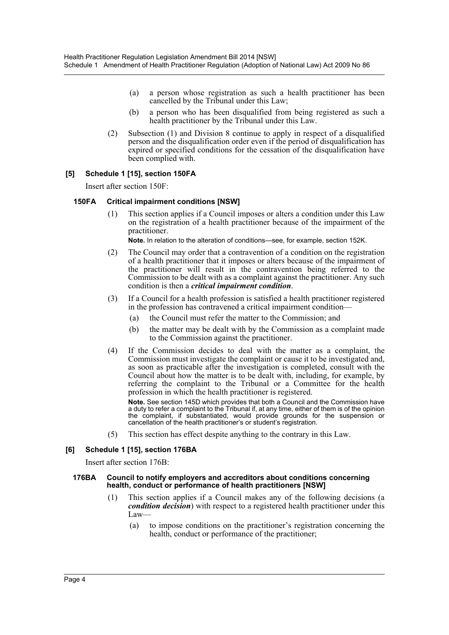- (a) a person whose registration as such a health practitioner has been cancelled by the Tribunal under this Law;
- (b) a person who has been disqualified from being registered as such a health practitioner by the Tribunal under this Law.
- (2) Subsection (1) and Division 8 continue to apply in respect of a disqualified person and the disqualification order even if the period of disqualification has expired or specified conditions for the cessation of the disqualification have been complied with.

#### **[5] Schedule 1 [15], section 150FA**

Insert after section 150F:

#### **150FA Critical impairment conditions [NSW]**

(1) This section applies if a Council imposes or alters a condition under this Law on the registration of a health practitioner because of the impairment of the practitioner.

**Note.** In relation to the alteration of conditions—see, for example, section 152K.

- (2) The Council may order that a contravention of a condition on the registration of a health practitioner that it imposes or alters because of the impairment of the practitioner will result in the contravention being referred to the Commission to be dealt with as a complaint against the practitioner. Any such condition is then a *critical impairment condition*.
- (3) If a Council for a health profession is satisfied a health practitioner registered in the profession has contravened a critical impairment condition—
	- (a) the Council must refer the matter to the Commission; and
	- (b) the matter may be dealt with by the Commission as a complaint made to the Commission against the practitioner.
- (4) If the Commission decides to deal with the matter as a complaint, the Commission must investigate the complaint or cause it to be investigated and, as soon as practicable after the investigation is completed, consult with the Council about how the matter is to be dealt with, including, for example, by referring the complaint to the Tribunal or a Committee for the health profession in which the health practitioner is registered.

**Note.** See section 145D which provides that both a Council and the Commission have a duty to refer a complaint to the Tribunal if, at any time, either of them is of the opinion the complaint, if substantiated, would provide grounds for the suspension or cancellation of the health practitioner's or student's registration.

(5) This section has effect despite anything to the contrary in this Law.

#### **[6] Schedule 1 [15], section 176BA**

Insert after section 176B:

#### **176BA Council to notify employers and accreditors about conditions concerning health, conduct or performance of health practitioners [NSW]**

- (1) This section applies if a Council makes any of the following decisions (a *condition decision*) with respect to a registered health practitioner under this Law—
	- (a) to impose conditions on the practitioner's registration concerning the health, conduct or performance of the practitioner;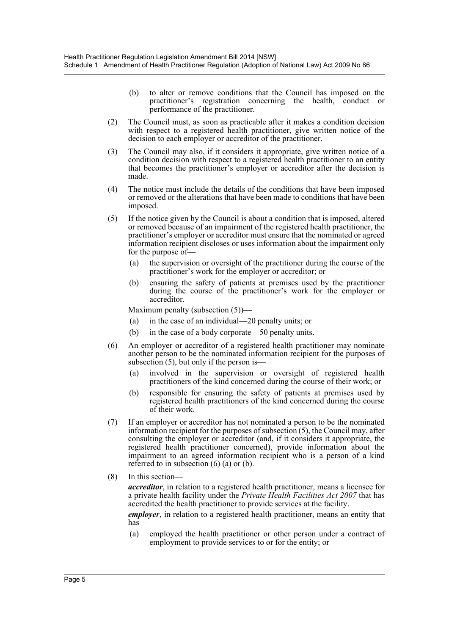- (b) to alter or remove conditions that the Council has imposed on the practitioner's registration concerning the health, conduct or performance of the practitioner.
- (2) The Council must, as soon as practicable after it makes a condition decision with respect to a registered health practitioner, give written notice of the decision to each employer or accreditor of the practitioner.
- (3) The Council may also, if it considers it appropriate, give written notice of a condition decision with respect to a registered health practitioner to an entity that becomes the practitioner's employer or accreditor after the decision is made.
- (4) The notice must include the details of the conditions that have been imposed or removed or the alterations that have been made to conditions that have been imposed.
- (5) If the notice given by the Council is about a condition that is imposed, altered or removed because of an impairment of the registered health practitioner, the practitioner's employer or accreditor must ensure that the nominated or agreed information recipient discloses or uses information about the impairment only for the purpose of—
	- (a) the supervision or oversight of the practitioner during the course of the practitioner's work for the employer or accreditor; or
	- (b) ensuring the safety of patients at premises used by the practitioner during the course of the practitioner's work for the employer or accreditor.

Maximum penalty (subsection (5))—

- (a) in the case of an individual—20 penalty units; or
- (b) in the case of a body corporate—50 penalty units.
- (6) An employer or accreditor of a registered health practitioner may nominate another person to be the nominated information recipient for the purposes of subsection (5), but only if the person is—
	- (a) involved in the supervision or oversight of registered health practitioners of the kind concerned during the course of their work; or
	- (b) responsible for ensuring the safety of patients at premises used by registered health practitioners of the kind concerned during the course of their work.
- (7) If an employer or accreditor has not nominated a person to be the nominated information recipient for the purposes of subsection (5), the Council may, after consulting the employer or accreditor (and, if it considers it appropriate, the registered health practitioner concerned), provide information about the impairment to an agreed information recipient who is a person of a kind referred to in subsection (6) (a) or (b).
- (8) In this section—

*accreditor*, in relation to a registered health practitioner, means a licensee for a private health facility under the *Private Health Facilities Act 2007* that has accredited the health practitioner to provide services at the facility.

*employer*, in relation to a registered health practitioner, means an entity that has—

(a) employed the health practitioner or other person under a contract of employment to provide services to or for the entity; or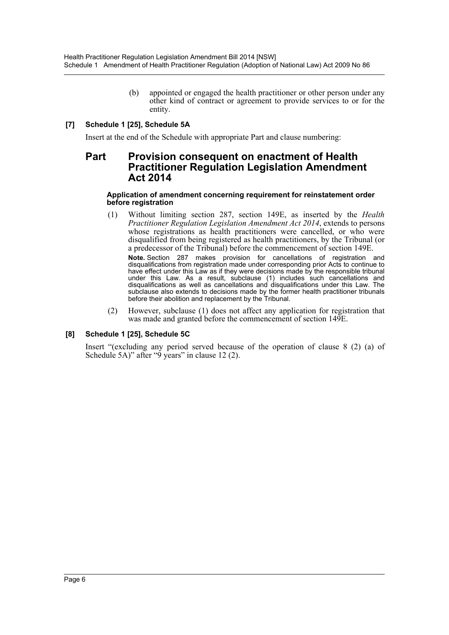(b) appointed or engaged the health practitioner or other person under any other kind of contract or agreement to provide services to or for the entity.

# **[7] Schedule 1 [25], Schedule 5A**

Insert at the end of the Schedule with appropriate Part and clause numbering:

# **Part Provision consequent on enactment of Health Practitioner Regulation Legislation Amendment Act 2014**

#### **Application of amendment concerning requirement for reinstatement order before registration**

- (1) Without limiting section 287, section 149E, as inserted by the *Health Practitioner Regulation Legislation Amendment Act 2014*, extends to persons whose registrations as health practitioners were cancelled, or who were disqualified from being registered as health practitioners, by the Tribunal (or a predecessor of the Tribunal) before the commencement of section 149E. **Note.** Section 287 makes provision for cancellations of registration and disqualifications from registration made under corresponding prior Acts to continue to have effect under this Law as if they were decisions made by the responsible tribunal under this Law. As a result, subclause (1) includes such cancellations and disqualifications as well as cancellations and disqualifications under this Law. The subclause also extends to decisions made by the former health practitioner tribunals before their abolition and replacement by the Tribunal.
- (2) However, subclause (1) does not affect any application for registration that was made and granted before the commencement of section 149E.

## **[8] Schedule 1 [25], Schedule 5C**

Insert "(excluding any period served because of the operation of clause 8 (2) (a) of Schedule 5A)" after "9 years" in clause 12 (2).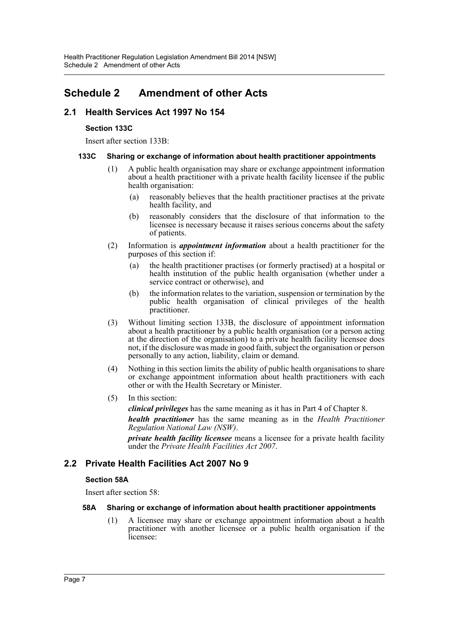# <span id="page-7-0"></span>**Schedule 2 Amendment of other Acts**

# **2.1 Health Services Act 1997 No 154**

## **Section 133C**

Insert after section 133B:

#### **133C Sharing or exchange of information about health practitioner appointments**

- (1) A public health organisation may share or exchange appointment information about a health practitioner with a private health facility licensee if the public health organisation:
	- (a) reasonably believes that the health practitioner practises at the private health facility, and
	- (b) reasonably considers that the disclosure of that information to the licensee is necessary because it raises serious concerns about the safety of patients.
- (2) Information is *appointment information* about a health practitioner for the purposes of this section if:
	- (a) the health practitioner practises (or formerly practised) at a hospital or health institution of the public health organisation (whether under a service contract or otherwise), and
	- (b) the information relates to the variation, suspension or termination by the public health organisation of clinical privileges of the health practitioner.
- (3) Without limiting section 133B, the disclosure of appointment information about a health practitioner by a public health organisation (or a person acting at the direction of the organisation) to a private health facility licensee does not, if the disclosure was made in good faith, subject the organisation or person personally to any action, liability, claim or demand.
- (4) Nothing in this section limits the ability of public health organisations to share or exchange appointment information about health practitioners with each other or with the Health Secretary or Minister.
- (5) In this section:

*clinical privileges* has the same meaning as it has in Part 4 of Chapter 8. *health practitioner* has the same meaning as in the *Health Practitioner Regulation National Law (NSW)*.

*private health facility licensee* means a licensee for a private health facility under the *Private Health Facilities Act 2007*.

# **2.2 Private Health Facilities Act 2007 No 9**

## **Section 58A**

Insert after section 58:

## **58A Sharing or exchange of information about health practitioner appointments**

(1) A licensee may share or exchange appointment information about a health practitioner with another licensee or a public health organisation if the licensee: